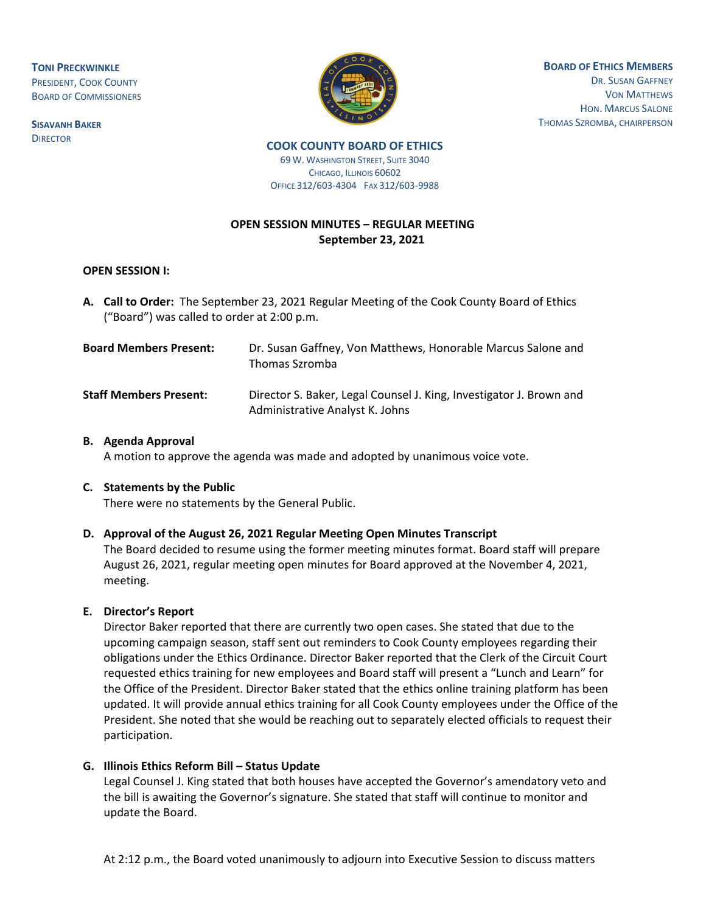**TONI PRECKWINKLE** PRESIDENT, COOK COUNTY BOARD OF COMMISSIONERS

**SISAVANH BAKER DIRECTOR** 



**BOARD OF ETHICS MEMBERS** DR. SUSAN GAFFNEY VON MATTHEWS HON. MARCUS SALONE THOMAS SZROMBA, CHAIRPERSON

#### **COOK COUNTY BOARD OF ETHICS**  69 W. WASHINGTON STREET, SUITE 3040 CHICAGO, ILLINOIS 60602

OFFICE 312/603-4304 FAX 312/603-9988

# **OPEN SESSION MINUTES – REGULAR MEETING September 23, 2021**

### **OPEN SESSION I:**

**A. Call to Order:** The September 23, 2021 Regular Meeting of the Cook County Board of Ethics ("Board") was called to order at 2:00 p.m.

| <b>Board Members Present:</b> | Dr. Susan Gaffney, Von Matthews, Honorable Marcus Salone and<br>Thomas Szromba                         |
|-------------------------------|--------------------------------------------------------------------------------------------------------|
| <b>Staff Members Present:</b> | Director S. Baker, Legal Counsel J. King, Investigator J. Brown and<br>Administrative Analyst K. Johns |

### **B. Agenda Approval**

A motion to approve the agenda was made and adopted by unanimous voice vote.

### **C. Statements by the Public**

There were no statements by the General Public.

## **D. Approval of the August 26, 2021 Regular Meeting Open Minutes Transcript**

The Board decided to resume using the former meeting minutes format. Board staff will prepare August 26, 2021, regular meeting open minutes for Board approved at the November 4, 2021, meeting.

### **E. Director's Report**

 Director Baker reported that there are currently two open cases. She stated that due to the upcoming campaign season, staff sent out reminders to Cook County employees regarding their obligations under the Ethics Ordinance. Director Baker reported that the Clerk of the Circuit Court requested ethics training for new employees and Board staff will present a "Lunch and Learn" for the Office of the President. Director Baker stated that the ethics online training platform has been updated. It will provide annual ethics training for all Cook County employees under the Office of the President. She noted that she would be reaching out to separately elected officials to request their participation.

### **G. Illinois Ethics Reform Bill – Status Update**

Legal Counsel J. King stated that both houses have accepted the Governor's amendatory veto and the bill is awaiting the Governor's signature. She stated that staff will continue to monitor and update the Board.